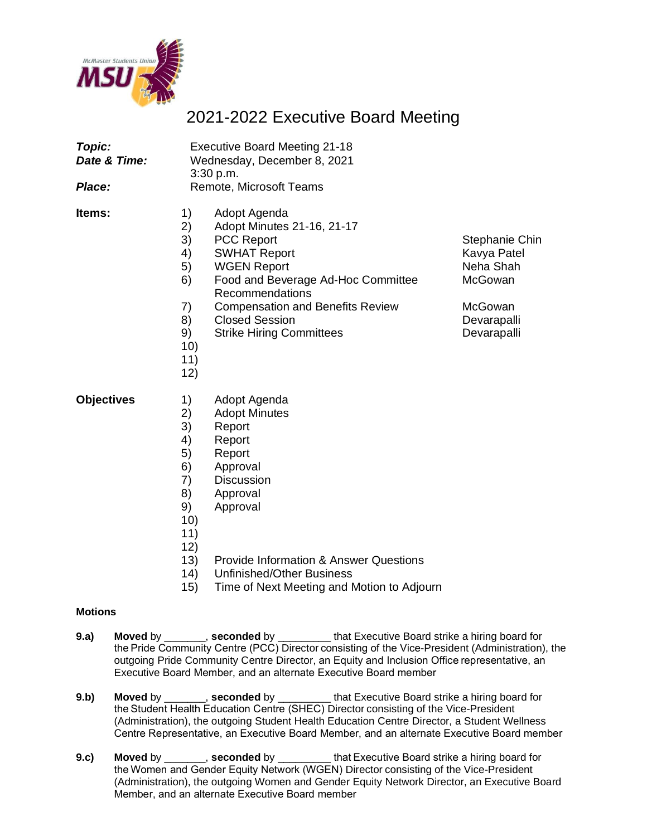

## 2021-2022 Executive Board Meeting

| Topic:<br>Date & Time:<br>Place: | <b>Executive Board Meeting 21-18</b><br>Wednesday, December 8, 2021<br>3:30 p.m.<br>Remote, Microsoft Teams |                                                                                                                                                                                                                                                                              |                                                                                                       |
|----------------------------------|-------------------------------------------------------------------------------------------------------------|------------------------------------------------------------------------------------------------------------------------------------------------------------------------------------------------------------------------------------------------------------------------------|-------------------------------------------------------------------------------------------------------|
| ltems:                           | 1)<br>2)<br>3)<br>4)<br>5)<br>6)<br>7)<br>8)<br>9)<br>10)<br>11)<br>12)                                     | Adopt Agenda<br>Adopt Minutes 21-16, 21-17<br><b>PCC Report</b><br><b>SWHAT Report</b><br><b>WGEN Report</b><br>Food and Beverage Ad-Hoc Committee<br>Recommendations<br><b>Compensation and Benefits Review</b><br><b>Closed Session</b><br><b>Strike Hiring Committees</b> | <b>Stephanie Chin</b><br>Kavya Patel<br>Neha Shah<br>McGowan<br>McGowan<br>Devarapalli<br>Devarapalli |
| <b>Objectives</b>                | 1)<br>2)<br>3)<br>4)<br>5)<br>6)<br>7)<br>8)<br>9)<br>10)<br>11)<br>12)<br>13)<br>14)                       | Adopt Agenda<br><b>Adopt Minutes</b><br>Report<br>Report<br>Report<br>Approval<br><b>Discussion</b><br>Approval<br>Approval<br><b>Provide Information &amp; Answer Questions</b><br><u> 1 Infinishad/Othar Rusinass</u>                                                      |                                                                                                       |

- 14) Unfinished/Other Business
- 15) Time of Next Meeting and Motion to Adjourn

## **Motions**

- **9.a) Moved** by \_\_\_\_\_\_\_, **seconded** by \_\_\_\_\_\_\_\_\_ that Executive Board strike a hiring board for the Pride Community Centre (PCC) Director consisting of the Vice-President (Administration), the outgoing Pride Community Centre Director, an Equity and Inclusion Office representative, an Executive Board Member, and an alternate Executive Board member
- **9.b) Moved** by \_\_\_\_\_\_\_, **seconded** by \_\_\_\_\_\_\_\_\_ that Executive Board strike a hiring board for the Student Health Education Centre (SHEC) Director consisting of the Vice-President (Administration), the outgoing Student Health Education Centre Director, a Student Wellness Centre Representative, an Executive Board Member, and an alternate Executive Board member
- **9.c) Moved** by \_\_\_\_\_\_\_, **seconded** by \_\_\_\_\_\_\_\_\_ that Executive Board strike a hiring board for the Women and Gender Equity Network (WGEN) Director consisting of the Vice-President (Administration), the outgoing Women and Gender Equity Network Director, an Executive Board Member, and an alternate Executive Board member